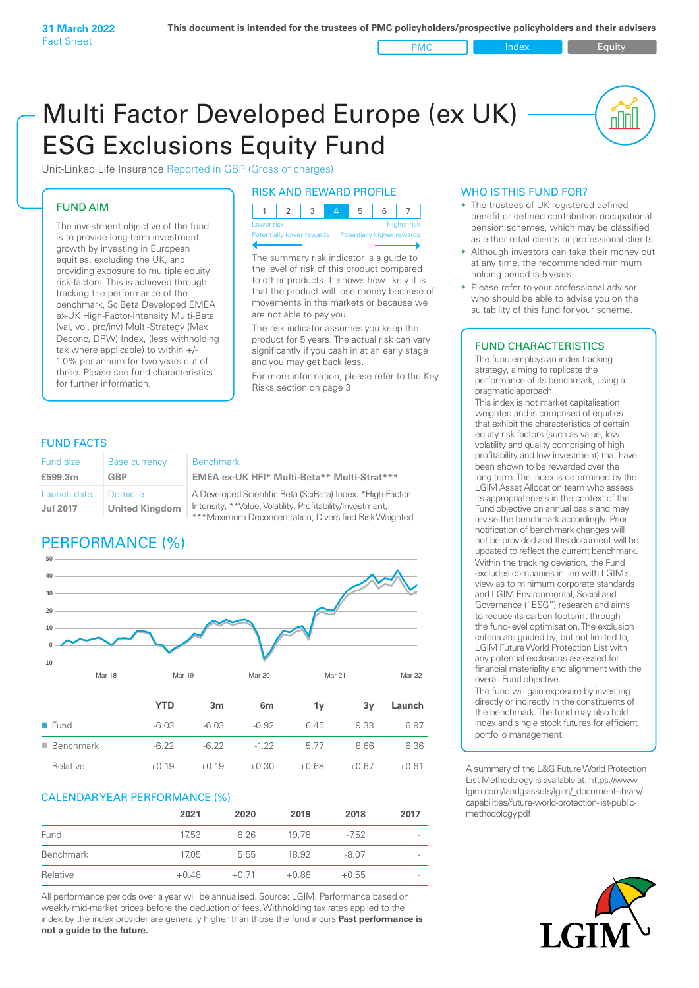PMC Index PMC Equity

<u>nul</u>

# Multi Factor Developed Europe (ex UK) ESG Exclusions Equity Fund

Unit-Linked Life Insurance Reported in GBP (Gross of charges)

#### FUND AIM

The investment objective of the fund is to provide long-term investment growth by investing in European equities, excluding the UK, and providing exposure to multiple equity risk-factors. This is achieved through tracking the performance of the benchmark, SciBeta Developed EMEA ex-UK High-Factor-Intensity Multi-Beta (val, vol, pro/inv) Multi-Strategy (Max Deconc, DRW) Index, (less withholding tax where applicable) to within +/-1.0% per annum for two years out of three. Please see fund characteristics for further information.

#### RISK AND REWARD PROFILE

| Lower risk |  |  | Higher risk |
|------------|--|--|-------------|

Potentially lower rewards Potentially higher rewards

The summary risk indicator is a guide to the level of risk of this product compared to other products. It shows how likely it is that the product will lose money because of movements in the markets or because we are not able to pay you.

The risk indicator assumes you keep the product for 5 years. The actual risk can vary significantly if you cash in at an early stage and you may get back less.

For more information, please refer to the Key Risks section on page 3.

#### FUND FACTS

| Fund size                      | <b>Base currency</b>              | <b>Benchmark</b>                                                                                                                                                                 |
|--------------------------------|-----------------------------------|----------------------------------------------------------------------------------------------------------------------------------------------------------------------------------|
| £599.3m                        | GBP                               | EMEA ex-UK HFI* Multi-Beta** Multi-Strat***                                                                                                                                      |
| Launch date<br><b>Jul 2017</b> | Domicile<br><b>United Kingdom</b> | A Developed Scientific Beta (SciBeta) Index. *High-Factor-<br>Intensity, **Value, Volatility, Profitability/Investment,<br>***Maximum Deconcentration; Diversified Risk Weighted |

# PERFORMANCE (%)



|                          | YTD     | 3m      | 6 <sub>m</sub> | 1v      | 3v      | Launch  |
|--------------------------|---------|---------|----------------|---------|---------|---------|
| $\blacksquare$ Fund      | $-6.03$ | $-6.03$ | $-0.92$        | 6.45    | 9.33    | 6.97    |
| $\blacksquare$ Benchmark | $-6.22$ | $-6.22$ | $-122$         | 5.77    | 8.66    | 6.36    |
| Relative                 | $+0.19$ | $+0.19$ | $+0.30$        | $+0.68$ | $+0.67$ | $+0.61$ |

#### CALENDAR YEAR PERFORMANCE (%)

|           | 2021    | 2020    | 2019    | 2018    | 2017                     |
|-----------|---------|---------|---------|---------|--------------------------|
| Fund      | 17.53   | 6.26    | 1978    | $-7.52$ | $\overline{\phantom{0}}$ |
| Benchmark | 17.05   | 5.55    | 18.92   | $-8.07$ | $\overline{\phantom{a}}$ |
| Relative  | $+0.48$ | $+0.71$ | $+0.86$ | $+0.55$ | $\overline{\phantom{a}}$ |

All performance periods over a year will be annualised. Source: LGIM. Performance based on weekly mid-market prices before the deduction of fees. Withholding tax rates applied to the index by the index provider are generally higher than those the fund incurs **Past performance is not a guide to the future.**

#### WHO IS THIS FUND FOR?

- The trustees of UK registered defined benefit or defined contribution occupational pension schemes, which may be classified as either retail clients or professional clients.
- Although investors can take their money out at any time, the recommended minimum holding period is 5 years.
- Please refer to your professional advisor who should be able to advise you on the suitability of this fund for your scheme.

#### FUND CHARACTERISTICS

The fund employs an index tracking strategy, aiming to replicate the performance of its benchmark, using a pragmatic approach.

This index is not market capitalisation weighted and is comprised of equities that exhibit the characteristics of certain equity risk factors (such as value, low volatility and quality comprising of high profitability and low investment) that have been shown to be rewarded over the long term. The index is determined by the LGIM Asset Allocation team who assess its appropriateness in the context of the Fund objective on annual basis and may revise the benchmark accordingly. Prior notification of benchmark changes will not be provided and this document will be updated to reflect the current benchmark. Within the tracking deviation, the Fund excludes companies in line with LGIM's view as to minimum corporate standards and LGIM Environmental, Social and Governance ("ESG") research and aims to reduce its carbon footprint through the fund-level optimisation. The exclusion criteria are guided by, but not limited to, LGIM Future World Protection List with any potential exclusions assessed for financial materiality and alignment with the overall Fund objective.

The fund will gain exposure by investing directly or indirectly in the constituents of the benchmark. The fund may also hold index and single stock futures for efficient portfolio management.

A summary of the L&G Future World Protection List Methodology is available at: https://www. lgim.com/landg-assets/lgim/\_document-library/ capabilities/future-world-protection-list-publicmethodology.pdf

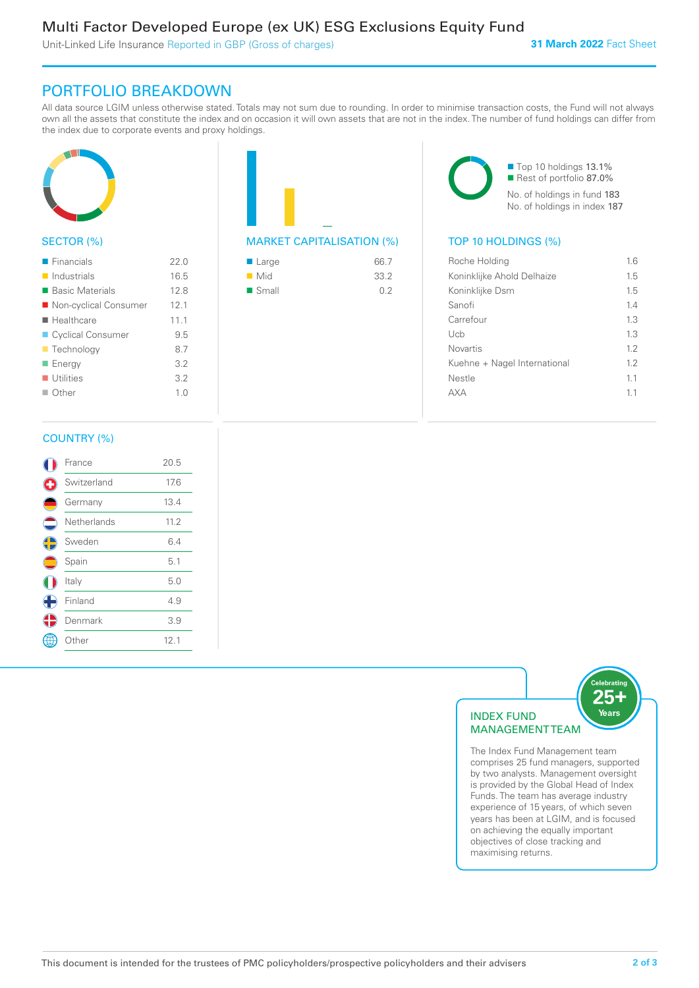Unit-Linked Life Insurance Reported in GBP (Gross of charges)

# PORTFOLIO BREAKDOWN

All data source LGIM unless otherwise stated. Totals may not sum due to rounding. In order to minimise transaction costs, the Fund will not always own all the assets that constitute the index and on occasion it will own assets that are not in the index. The number of fund holdings can differ from the index due to corporate events and proxy holdings.



## SECTOR (%)

| $\blacksquare$ Financials  | 220  |
|----------------------------|------|
| $\blacksquare$ Industrials | 16.5 |
| ■ Basic Materials          | 12.8 |
| ■ Non-cyclical Consumer    | 12.1 |
| ■ Healthcare               | 11.1 |
| ■ Cyclical Consumer        | 9.5  |
| <b>Technology</b>          | 8.7  |
| ■ Energy                   | 3.2  |
| $\blacksquare$ Utilities   | 3.2  |
| $\blacksquare$ Other       | 1.0  |
|                            |      |

|  | <b>MARKET CAPITALISATION (</b> |
|--|--------------------------------|

| ■ Large              | 66.7 |
|----------------------|------|
| $\blacksquare$ Mid   | 33.2 |
| $\blacksquare$ Small | 0.2  |

■ Top 10 holdings 13.1% Rest of portfolio 87.0% No. of holdings in fund 183 No. of holdings in index 187

## $\%$ ) TOP 10 HOLDINGS (%)

| Roche Holding                | 1.6 |
|------------------------------|-----|
| Koninklijke Ahold Delhaize   | 1.5 |
| Koninklijke Dsm              | 15  |
| Sanofi                       | 14  |
| Carrefour                    | 1.3 |
| Uch                          | 1.3 |
| <b>Novartis</b>              | 1.2 |
| Kuehne + Nagel International | 12  |
| Nestle                       | 11  |
|                              | 11  |
|                              |     |

#### COUNTRY (%)

|             | France       | 20.5 |  |
|-------------|--------------|------|--|
|             | Switzerland  | 17.6 |  |
|             | Germany      | 13.4 |  |
| =           | Netherlands  | 11.2 |  |
| C           | Sweden       | 6.4  |  |
|             | Spain        | 5.1  |  |
|             | Italy        | 5.0  |  |
| $\bigoplus$ | Finland      | 4.9  |  |
|             | Denmark      | 3.9  |  |
|             | <b>Other</b> | 12.1 |  |
|             |              |      |  |



The Index Fund Management team comprises 25 fund managers, supported by two analysts. Management oversight is provided by the Global Head of Index Funds. The team has average industry experience of 15 years, of which seven years has been at LGIM, and is focused on achieving the equally important objectives of close tracking and maximising returns.